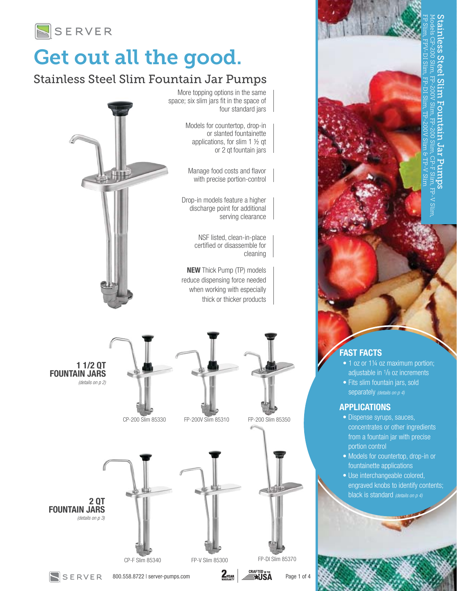

## Get out all the good.

 $\overline{a}$ 

### Stainless Steel Slim Fountain Jar Pumps



Models for countertop, drop-in or slanted fountainette applications, for slim 1 ½ qt or 2 qt fountain jars

Manage food costs and flavor with precise portion-control

Drop-in models feature a higher discharge point for additional serving clearance

> NSF listed, clean-in-place certified or disassemble for cleaning

NEW Thick Pump (TP) models reduce dispensing force needed when working with especially thick or thicker products



#### FAST FACTS

- 1 oz or 1¼ oz maximum portion; adjustable in 1/8 oz increments
- Fits slim fountain jars, sold separately *(details on p 4)*

#### APPLICATIONS

- Dispense syrups, sauces, concentrates or other ingredients from a fountain jar with precise portion control
- Models for countertop, drop-in or fountainette applications
- Use interchangeable colored, engraved knobs to identify contents; black is standard *(details on p 4)*



800.558.8722 | server-pumps.com  $\sum_{\text{WASRANT}}$   $\left| \right. \substack{\text{CRAFTED N THE} \\ \text{WASRANT}}$  Page 1 of 4

SERVER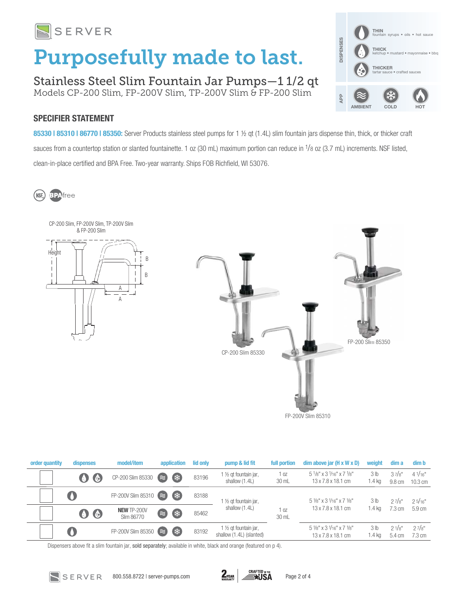

# Purposefully made to last.

Stainless Steel Slim Fountain Jar Pumps—1 1/2 qt Models CP-200 Slim, FP-200V Slim, TP-200V Slim & FP-200 Slim



### SPECIFIER STATEMENT

85330 | 85310 | 86770 | 85350: Server Products stainless steel pumps for 1 ½ qt (1.4L) slim fountain jars dispense thin, thick, or thicker craft sauces from a countertop station or slanted fountainette. 1 oz (30 mL) maximum portion can reduce in <sup>1</sup>/8 oz (3.7 mL) increments. NSF listed, clean-in-place certified and BPA Free. Two-year warranty. Ships FOB Richfield, WI 53076.

(NSF. **BPAfree** 



FP-200V Slim 85310

| order quantity | dispenses           | model/item                       | application     | lid only | pump & lid fit                                               | full portion             | $dim$ above jar $(H \times W \times D)$                                                     | weight                      | dim a            | dim b                                |
|----------------|---------------------|----------------------------------|-----------------|----------|--------------------------------------------------------------|--------------------------|---------------------------------------------------------------------------------------------|-----------------------------|------------------|--------------------------------------|
|                | $\bullet$           | CP-200 Slim 85330 (              | 《 茶             | 83196    | 1/2 gt fountain jar,<br>shallow (1.4L)                       | 1 oz<br>30 mL            | $5^{1}/8"$ x 3 $1/16"$ x 7 $1/8"$<br>$13 \times 7.8 \times 18.1$ cm                         | 3 <sub>lb</sub><br>1.4 kg   | 37/s''<br>9.8 cm | $4^{1}/_{16}$ "<br>$10.3 \text{ cm}$ |
|                | $\bullet$           | FP-200V Slim 85310 $\approx$     | 《 荣             | 83188    | 1 1/2 gt fountain jar,                                       |                          | $5\frac{1}{8}$ " x 3 $\frac{1}{16}$ " x 7 $\frac{1}{8}$ "                                   | 3 <sub>lb</sub>             | 27/s''           | 25/16"                               |
|                | $\bullet$ $\bullet$ | <b>NEW TP-200V</b><br>Slim 86770 | (業<br>$\approx$ | 85462    | shallow (1.4L)                                               | 1 <sub>0Z</sub><br>30 mL | $13 \times 7.8 \times 18.1$ cm                                                              | $1.4$ kg                    | $7.3 \text{ cm}$ | 5.9 cm                               |
|                | $\mathbf 0$         | FP-200V Slim 85350               | (               | 83192    | 1 $\frac{1}{2}$ gt fountain jar,<br>shallow (1.4L) (slanted) |                          | $5\frac{1}{8}$ " x 3 $\frac{1}{16}$ " x 7 $\frac{1}{8}$ "<br>$13 \times 7.8 \times 18.1$ cm | 3 <sub>lb</sub><br>$1.4$ kg | 21/s''<br>5.4 cm | 27/s''<br>7.3 cm                     |

Dispensers above fit a slim fountain jar, sold separately; available in white, black and orange (featured on p 4).

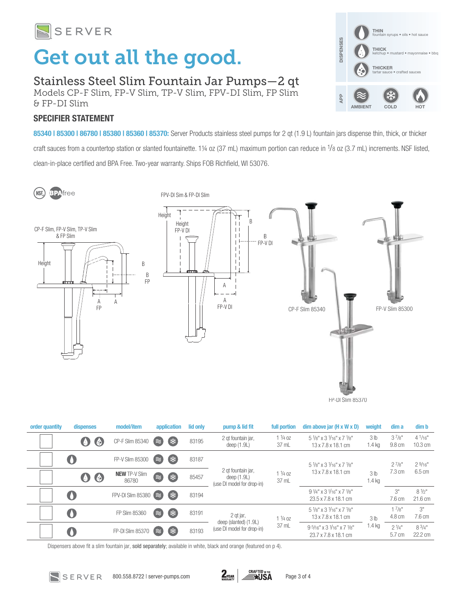

# Get out all the good.

Stainless Steel Slim Fountain Jar Pumps—2 qt Models CP-F Slim, FP-V Slim, TP-V Slim, FPV-DI Slim, FP Slim & FP-DI Slim

### SPECIFIER STATEMENT

85340 | 85300 | 86780 | 85380 | 85360 | 85370: Server Products stainless steel pumps for 2 qt (1.9 L) fountain jars dispense thin, thick, or thicker craft sauces from a countertop station or slanted fountainette. 1¼ oz (37 mL) maximum portion can reduce in <sup>1</sup>/8 oz (3.7 mL) increments. NSF listed, clean-in-place certified and BPA Free. Two-year warranty. Ships FOB Richfield, WI 53076.

THIN

**THICK**<br>ketchup

DISPENSES

**JISPENSES** 

APP

THICKER

AMBIENT COLD HOT

ins • oils • hot sauce

**•** crafted sauces

mayonnaise • bbc

**BPA**free (NSF)

FPV-DI Sim & FP-DI Slim



| order quantity | dispenses           | model/item                    | application        | lid only | pump & lid fit                                                    | full portion               | $dim$ above jar $(H \times W \times D)$                                                     | weight                      | dim a                | dim b                                 |
|----------------|---------------------|-------------------------------|--------------------|----------|-------------------------------------------------------------------|----------------------------|---------------------------------------------------------------------------------------------|-----------------------------|----------------------|---------------------------------------|
|                | (あ                  | CP-F Slim 85340               | (業)<br>$(\approx)$ | 83195    | 2 gt fountain jar,<br>deep $(1.9L)$                               | $1\frac{1}{4}$ oz<br>37 mL | $5\frac{1}{8}$ " x 3 $\frac{1}{16}$ " x 7 $\frac{1}{8}$ "<br>13 x 7.8 x 18.1 cm             | 3 <sub>lb</sub><br>1.4 kg   | $3^{7/8"}$<br>9.8 cm | $4^{1/16}$<br>$10.3 \text{ cm}$       |
|                |                     | FP-V Slim 85300               | (業)<br>(≋)         | 83187    | 2 gt fountain jar,<br>deep $(1.9L)$<br>(use DI model for drop-in) | $1\frac{1}{4}$ 0Z<br>37 mL | $5\frac{1}{8}$ " x 3 $\frac{1}{16}$ " x 7 $\frac{1}{8}$ "<br>$13 \times 7.8 \times 18.1$ cm | 3 <sub>lb</sub><br>$1.4$ kg | $2^{7/8"}$           | 29/16"                                |
|                | $\bullet$ $\bullet$ | <b>NEW TP-V Slim</b><br>86780 | 2<br>( *           | 85457    |                                                                   |                            |                                                                                             |                             | $7.3 \text{ cm}$     | 6.5 cm                                |
|                | O                   | FPV-DI Slim 85380             | $(\approx)$        | 83194    |                                                                   |                            | $9\frac{1}{4}$ " x 3 $\frac{1}{16}$ " x 7 $\frac{1}{8}$ "<br>23.5 x 7.8 x 18.1 cm           |                             | 3"<br>7.6 cm         | $8\frac{1}{2}$ "<br>$21.6 \text{ cm}$ |
|                | $\bullet$           | FP Slim 85360                 | (業)<br>(≋)         | 83191    | 2 gt jar,<br>deep (slanted) (1.9L)<br>(use DI model for drop-in)  | $1\frac{1}{4}$ oz<br>37 mL | $5\frac{1}{8}$ " x 3 $\frac{1}{16}$ " x 7 $\frac{1}{8}$ "<br>$13 \times 7.8 \times 18.1$ cm | 3 <sub>lb</sub><br>1.4 kg   | 17/8"<br>4.8 cm      | 3"<br>7.6 cm                          |
|                |                     | FP-DI Slim 85370              | (業)<br>$(\approx)$ | 83193    |                                                                   |                            | $9\frac{5}{16}$ " x 3 $\frac{1}{16}$ " x 7 $\frac{1}{8}$ "<br>23.7 x 7.8 x 18.1 cm          |                             | $2^{1/4"}$<br>5.7 cm | $8^{3/4"}$<br>22.2 cm                 |

Dispensers above fit a slim fountain jar, sold separately; available in white, black and orange (featured on p 4).